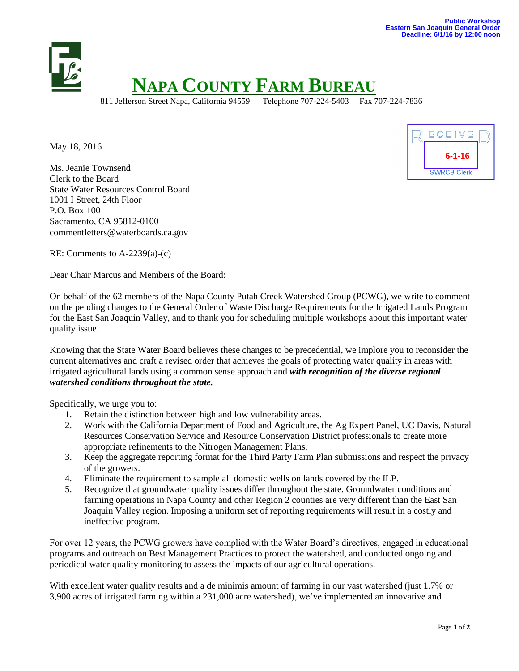

May 18, 2016

Ms. Jeanie Townsend Clerk to the Board State Water Resources Control Board 1001 I Street, 24th Floor P.O. Box 100 Sacramento, CA 95812-0100 commentletters@waterboards.ca.gov



RE: Comments to A-2239(a)-(c)

Dear Chair Marcus and Members of the Board:

On behalf of the 62 members of the Napa County Putah Creek Watershed Group (PCWG), we write to comment on the pending changes to the General Order of Waste Discharge Requirements for the Irrigated Lands Program for the East San Joaquin Valley, and to thank you for scheduling multiple workshops about this important water quality issue.

Knowing that the State Water Board believes these changes to be precedential, we implore you to reconsider the current alternatives and craft a revised order that achieves the goals of protecting water quality in areas with irrigated agricultural lands using a common sense approach and *with recognition of the diverse regional watershed conditions throughout the state.* 

Specifically, we urge you to:

- 1. Retain the distinction between high and low vulnerability areas.
- 2. Work with the California Department of Food and Agriculture, the Ag Expert Panel, UC Davis, Natural Resources Conservation Service and Resource Conservation District professionals to create more appropriate refinements to the Nitrogen Management Plans.
- 3. Keep the aggregate reporting format for the Third Party Farm Plan submissions and respect the privacy of the growers.
- 4. Eliminate the requirement to sample all domestic wells on lands covered by the ILP.
- 5. Recognize that groundwater quality issues differ throughout the state. Groundwater conditions and farming operations in Napa County and other Region 2 counties are very different than the East San Joaquin Valley region. Imposing a uniform set of reporting requirements will result in a costly and ineffective program.

For over 12 years, the PCWG growers have complied with the Water Board's directives, engaged in educational programs and outreach on Best Management Practices to protect the watershed, and conducted ongoing and periodical water quality monitoring to assess the impacts of our agricultural operations.

With excellent water quality results and a de minimis amount of farming in our vast watershed (just 1.7% or 3,900 acres of irrigated farming within a 231,000 acre watershed), we've implemented an innovative and